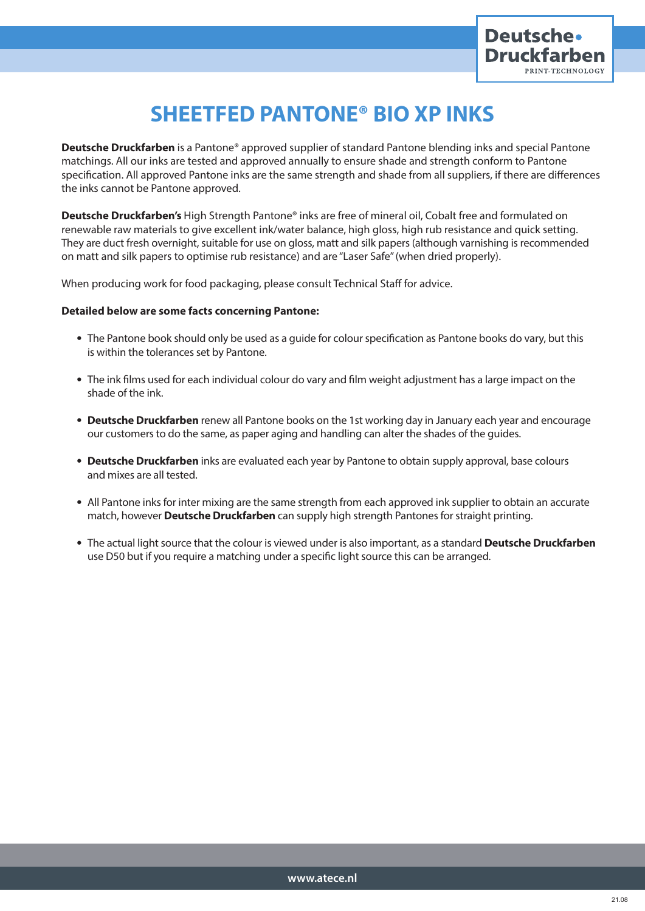

# **SHEETFED PANTONE® BIO XP INKS**

**Deutsche Druckfarben** is a Pantone® approved supplier of standard Pantone blending inks and special Pantone matchings. All our inks are tested and approved annually to ensure shade and strength conform to Pantone specification. All approved Pantone inks are the same strength and shade from all suppliers, if there are differences the inks cannot be Pantone approved.

**Deutsche Druckfarben's** High Strength Pantone® inks are free of mineral oil, Cobalt free and formulated on renewable raw materials to give excellent ink/water balance, high gloss, high rub resistance and quick setting. They are duct fresh overnight, suitable for use on gloss, matt and silk papers (although varnishing is recommended on matt and silk papers to optimise rub resistance) and are "Laser Safe" (when dried properly).

When producing work for food packaging, please consult Technical Staff for advice.

### **Detailed below are some facts concerning Pantone:**

- The Pantone book should only be used as a guide for colour specification as Pantone books do vary, but this is within the tolerances set by Pantone.
- The ink films used for each individual colour do vary and film weight adjustment has a large impact on the shade of the ink.
- **Deutsche Druckfarben** renew all Pantone books on the 1st working day in January each year and encourage our customers to do the same, as paper aging and handling can alter the shades of the guides.
- **Deutsche Druckfarben** inks are evaluated each year by Pantone to obtain supply approval, base colours and mixes are all tested.
- All Pantone inks for inter mixing are the same strength from each approved ink supplier to obtain an accurate match, however **Deutsche Druckfarben** can supply high strength Pantones for straight printing.
- The actual light source that the colour is viewed under is also important, as a standard **Deutsche Druckfarben** use D50 but if you require a matching under a specific light source this can be arranged.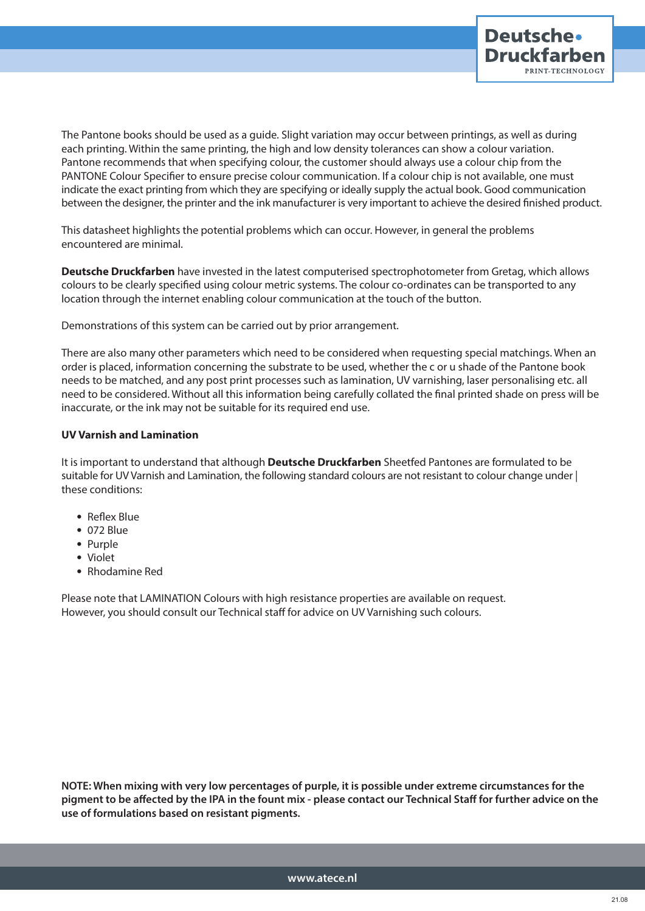

The Pantone books should be used as a guide. Slight variation may occur between printings, as well as during each printing. Within the same printing, the high and low density tolerances can show a colour variation. Pantone recommends that when specifying colour, the customer should always use a colour chip from the PANTONE Colour Specifier to ensure precise colour communication. If a colour chip is not available, one must indicate the exact printing from which they are specifying or ideally supply the actual book. Good communication between the designer, the printer and the ink manufacturer is very important to achieve the desired finished product.

This datasheet highlights the potential problems which can occur. However, in general the problems encountered are minimal.

**Deutsche Druckfarben** have invested in the latest computerised spectrophotometer from Gretag, which allows colours to be clearly specified using colour metric systems. The colour co-ordinates can be transported to any location through the internet enabling colour communication at the touch of the button.

Demonstrations of this system can be carried out by prior arrangement.

There are also many other parameters which need to be considered when requesting special matchings. When an order is placed, information concerning the substrate to be used, whether the c or u shade of the Pantone book needs to be matched, and any post print processes such as lamination, UV varnishing, laser personalising etc. all need to be considered. Without all this information being carefully collated the final printed shade on press will be inaccurate, or the ink may not be suitable for its required end use.

## **UV Varnish and Lamination**

It is important to understand that although **Deutsche Druckfarben** Sheetfed Pantones are formulated to be suitable for UV Varnish and Lamination, the following standard colours are not resistant to colour change under | these conditions:

- Reflex Blue
- 072 Blue
- Purple
- Violet
- Rhodamine Red

Please note that LAMINATION Colours with high resistance properties are available on request. However, you should consult our Technical staff for advice on UV Varnishing such colours.

**NOTE: When mixing with very low percentages of purple, it is possible under extreme circumstances for the pigment to be affected by the IPA in the fount mix - please contact our Technical Staff for further advice on the use of formulations based on resistant pigments.**